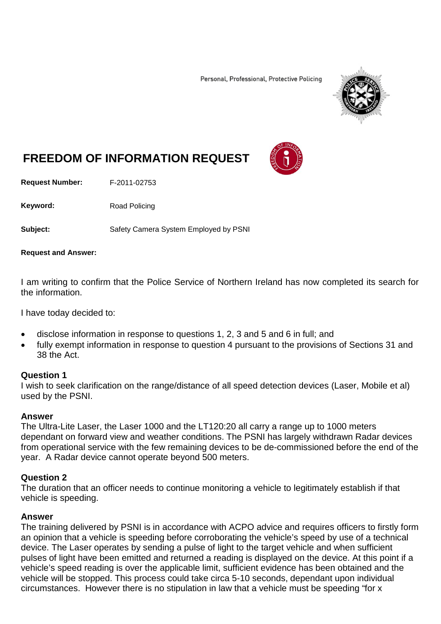Personal, Professional, Protective Policing



# **FREEDOM OF INFORMATION REQUEST**

**Request Number:** F-2011-02753

Keyword: Road Policing

**Subject:** Safety Camera System Employed by PSNI

#### **Request and Answer:**

I am writing to confirm that the Police Service of Northern Ireland has now completed its search for the information.

I have today decided to:

- disclose information in response to questions 1, 2, 3 and 5 and 6 in full; and
- fully exempt information in response to question 4 pursuant to the provisions of Sections 31 and 38 the Act.

#### **Question 1**

I wish to seek clarification on the range/distance of all speed detection devices (Laser, Mobile et al) used by the PSNI.

#### **Answer**

The Ultra-Lite Laser, the Laser 1000 and the LT120:20 all carry a range up to 1000 meters dependant on forward view and weather conditions. The PSNI has largely withdrawn Radar devices from operational service with the few remaining devices to be de-commissioned before the end of the year. A Radar device cannot operate beyond 500 meters.

#### **Question 2**

The duration that an officer needs to continue monitoring a vehicle to legitimately establish if that vehicle is speeding.

#### **Answer**

The training delivered by PSNI is in accordance with ACPO advice and requires officers to firstly form an opinion that a vehicle is speeding before corroborating the vehicle's speed by use of a technical device. The Laser operates by sending a pulse of light to the target vehicle and when sufficient pulses of light have been emitted and returned a reading is displayed on the device. At this point if a vehicle's speed reading is over the applicable limit, sufficient evidence has been obtained and the vehicle will be stopped. This process could take circa 5-10 seconds, dependant upon individual circumstances. However there is no stipulation in law that a vehicle must be speeding "for x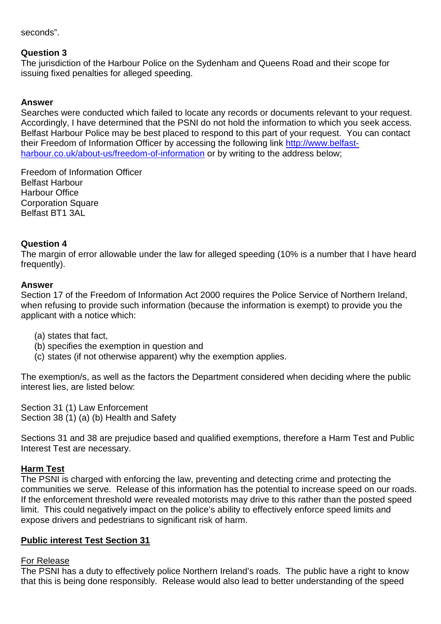seconds".

## **Question 3**

The jurisdiction of the Harbour Police on the Sydenham and Queens Road and their scope for issuing fixed penalties for alleged speeding.

## **Answer**

Searches were conducted which failed to locate any records or documents relevant to your request. Accordingly, I have determined that the PSNI do not hold the information to which you seek access. Belfast Harbour Police may be best placed to respond to this part of your request. You can contact their Freedom of Information Officer by accessing the following link [http://www.belfast](http://www.belfast-harbour.co.uk/about-us/freedom-of-information)[harbour.co.uk/about-us/freedom-of-information](http://www.belfast-harbour.co.uk/about-us/freedom-of-information) or by writing to the address below;

Freedom of Information Officer Belfast Harbour Harbour Office Corporation Square Belfast BT1 3AL

## **Question 4**

The margin of error allowable under the law for alleged speeding (10% is a number that I have heard frequently).

#### **Answer**

Section 17 of the Freedom of Information Act 2000 requires the Police Service of Northern Ireland, when refusing to provide such information (because the information is exempt) to provide you the applicant with a notice which:

- (a) states that fact,
- (b) specifies the exemption in question and
- (c) states (if not otherwise apparent) why the exemption applies.

The exemption/s, as well as the factors the Department considered when deciding where the public interest lies, are listed below:

Section 31 (1) Law Enforcement Section 38 (1) (a) (b) Health and Safety

Sections 31 and 38 are prejudice based and qualified exemptions, therefore a Harm Test and Public Interest Test are necessary.

#### **Harm Test**

The PSNI is charged with enforcing the law, preventing and detecting crime and protecting the communities we serve. Release of this information has the potential to increase speed on our roads. If the enforcement threshold were revealed motorists may drive to this rather than the posted speed limit. This could negatively impact on the police's ability to effectively enforce speed limits and expose drivers and pedestrians to significant risk of harm.

# **Public interest Test Section 31**

#### For Release

The PSNI has a duty to effectively police Northern Ireland's roads. The public have a right to know that this is being done responsibly. Release would also lead to better understanding of the speed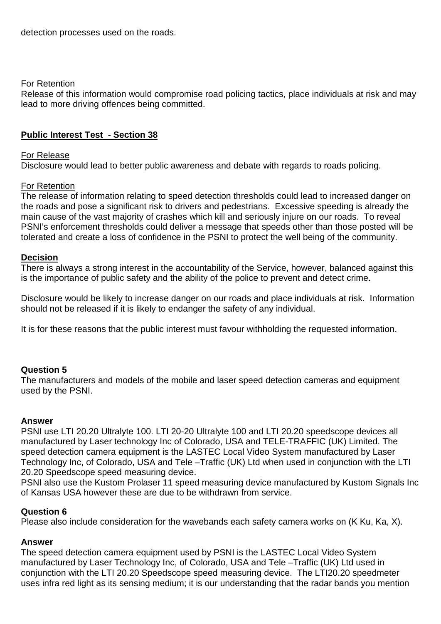## For Retention

Release of this information would compromise road policing tactics, place individuals at risk and may lead to more driving offences being committed.

# **Public Interest Test - Section 38**

## For Release

Disclosure would lead to better public awareness and debate with regards to roads policing.

## For Retention

The release of information relating to speed detection thresholds could lead to increased danger on the roads and pose a significant risk to drivers and pedestrians. Excessive speeding is already the main cause of the vast majority of crashes which kill and seriously injure on our roads. To reveal PSNI's enforcement thresholds could deliver a message that speeds other than those posted will be tolerated and create a loss of confidence in the PSNI to protect the well being of the community.

#### **Decision**

There is always a strong interest in the accountability of the Service, however, balanced against this is the importance of public safety and the ability of the police to prevent and detect crime.

Disclosure would be likely to increase danger on our roads and place individuals at risk. Information should not be released if it is likely to endanger the safety of any individual.

It is for these reasons that the public interest must favour withholding the requested information.

# **Question 5**

The manufacturers and models of the mobile and laser speed detection cameras and equipment used by the PSNI.

#### **Answer**

PSNI use LTI 20.20 Ultralyte 100. LTI 20-20 Ultralyte 100 and LTI 20.20 speedscope devices all manufactured by Laser technology Inc of Colorado, USA and TELE-TRAFFIC (UK) Limited. The speed detection camera equipment is the LASTEC Local Video System manufactured by Laser Technology Inc, of Colorado, USA and Tele –Traffic (UK) Ltd when used in conjunction with the LTI 20.20 Speedscope speed measuring device.

PSNI also use the Kustom Prolaser 11 speed measuring device manufactured by Kustom Signals Inc of Kansas USA however these are due to be withdrawn from service.

#### **Question 6**

Please also include consideration for the wavebands each safety camera works on (K Ku, Ka, X).

# **Answer**

The speed detection camera equipment used by PSNI is the LASTEC Local Video System manufactured by Laser Technology Inc, of Colorado, USA and Tele –Traffic (UK) Ltd used in conjunction with the LTI 20.20 Speedscope speed measuring device. The LTI20.20 speedmeter uses infra red light as its sensing medium; it is our understanding that the radar bands you mention